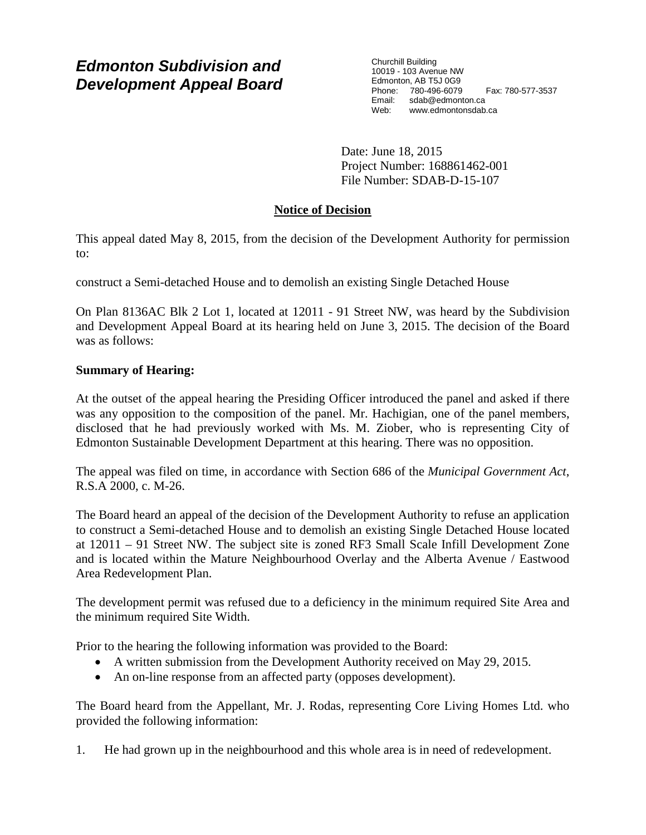# *Edmonton Subdivision and Development Appeal Board*

Churchill Building 10019 - 103 Avenue NW Edmonton, AB T5J 0G9 Phone: 780-496-6079 Fax: 780-577-3537 Email: sdab@edmonton.ca<br>Web: www.edmontonsdab www.edmontonsdab.ca

Date: June 18, 2015 Project Number: 168861462-001 File Number: SDAB-D-15-107

# **Notice of Decision**

This appeal dated May 8, 2015, from the decision of the Development Authority for permission to:

construct a Semi-detached House and to demolish an existing Single Detached House

On Plan 8136AC Blk 2 Lot 1, located at 12011 - 91 Street NW, was heard by the Subdivision and Development Appeal Board at its hearing held on June 3, 2015. The decision of the Board was as follows:

# **Summary of Hearing:**

At the outset of the appeal hearing the Presiding Officer introduced the panel and asked if there was any opposition to the composition of the panel. Mr. Hachigian, one of the panel members, disclosed that he had previously worked with Ms. M. Ziober, who is representing City of Edmonton Sustainable Development Department at this hearing. There was no opposition.

The appeal was filed on time, in accordance with Section 686 of the *Municipal Government Act*, R.S.A 2000, c. M-26.

The Board heard an appeal of the decision of the Development Authority to refuse an application to construct a Semi-detached House and to demolish an existing Single Detached House located at 12011 – 91 Street NW. The subject site is zoned RF3 Small Scale Infill Development Zone and is located within the Mature Neighbourhood Overlay and the Alberta Avenue / Eastwood Area Redevelopment Plan.

The development permit was refused due to a deficiency in the minimum required Site Area and the minimum required Site Width.

Prior to the hearing the following information was provided to the Board:

- A written submission from the Development Authority received on May 29, 2015.
- An on-line response from an affected party (opposes development).

The Board heard from the Appellant, Mr. J. Rodas, representing Core Living Homes Ltd. who provided the following information:

1. He had grown up in the neighbourhood and this whole area is in need of redevelopment.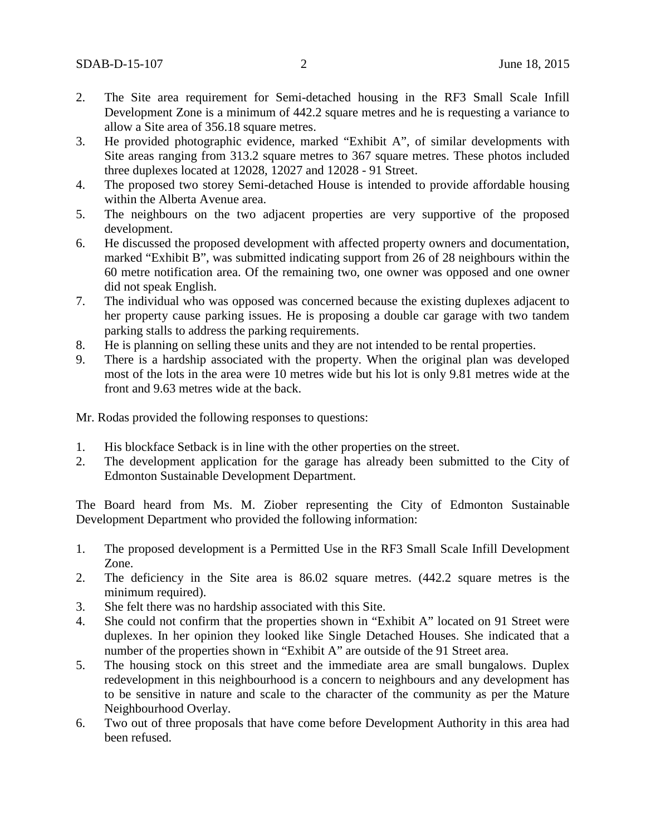- 2. The Site area requirement for Semi-detached housing in the RF3 Small Scale Infill Development Zone is a minimum of 442.2 square metres and he is requesting a variance to allow a Site area of 356.18 square metres.
- 3. He provided photographic evidence, marked "Exhibit A", of similar developments with Site areas ranging from 313.2 square metres to 367 square metres. These photos included three duplexes located at 12028, 12027 and 12028 - 91 Street.
- 4. The proposed two storey Semi-detached House is intended to provide affordable housing within the Alberta Avenue area.
- 5. The neighbours on the two adjacent properties are very supportive of the proposed development.
- 6. He discussed the proposed development with affected property owners and documentation, marked "Exhibit B", was submitted indicating support from 26 of 28 neighbours within the 60 metre notification area. Of the remaining two, one owner was opposed and one owner did not speak English.
- 7. The individual who was opposed was concerned because the existing duplexes adjacent to her property cause parking issues. He is proposing a double car garage with two tandem parking stalls to address the parking requirements.
- 8. He is planning on selling these units and they are not intended to be rental properties.
- 9. There is a hardship associated with the property. When the original plan was developed most of the lots in the area were 10 metres wide but his lot is only 9.81 metres wide at the front and 9.63 metres wide at the back.

Mr. Rodas provided the following responses to questions:

- 1. His blockface Setback is in line with the other properties on the street.
- 2. The development application for the garage has already been submitted to the City of Edmonton Sustainable Development Department.

The Board heard from Ms. M. Ziober representing the City of Edmonton Sustainable Development Department who provided the following information:

- 1. The proposed development is a Permitted Use in the RF3 Small Scale Infill Development Zone.
- 2. The deficiency in the Site area is 86.02 square metres. (442.2 square metres is the minimum required).
- 3. She felt there was no hardship associated with this Site.
- 4. She could not confirm that the properties shown in "Exhibit A" located on 91 Street were duplexes. In her opinion they looked like Single Detached Houses. She indicated that a number of the properties shown in "Exhibit A" are outside of the 91 Street area.
- 5. The housing stock on this street and the immediate area are small bungalows. Duplex redevelopment in this neighbourhood is a concern to neighbours and any development has to be sensitive in nature and scale to the character of the community as per the Mature Neighbourhood Overlay.
- 6. Two out of three proposals that have come before Development Authority in this area had been refused.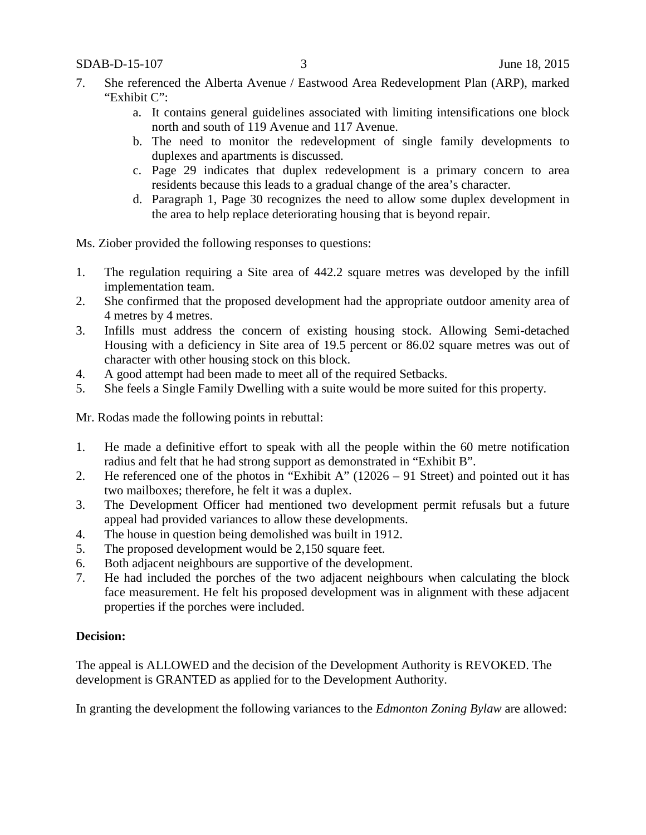- 7. She referenced the Alberta Avenue / Eastwood Area Redevelopment Plan (ARP), marked "Exhibit C":
	- a. It contains general guidelines associated with limiting intensifications one block north and south of 119 Avenue and 117 Avenue.
	- b. The need to monitor the redevelopment of single family developments to duplexes and apartments is discussed.
	- c. Page 29 indicates that duplex redevelopment is a primary concern to area residents because this leads to a gradual change of the area's character.
	- d. Paragraph 1, Page 30 recognizes the need to allow some duplex development in the area to help replace deteriorating housing that is beyond repair.

Ms. Ziober provided the following responses to questions:

- 1. The regulation requiring a Site area of 442.2 square metres was developed by the infill implementation team.
- 2. She confirmed that the proposed development had the appropriate outdoor amenity area of 4 metres by 4 metres.
- 3. Infills must address the concern of existing housing stock. Allowing Semi-detached Housing with a deficiency in Site area of 19.5 percent or 86.02 square metres was out of character with other housing stock on this block.
- 4. A good attempt had been made to meet all of the required Setbacks.
- 5. She feels a Single Family Dwelling with a suite would be more suited for this property.

Mr. Rodas made the following points in rebuttal:

- 1. He made a definitive effort to speak with all the people within the 60 metre notification radius and felt that he had strong support as demonstrated in "Exhibit B".
- 2. He referenced one of the photos in "Exhibit A" (12026 91 Street) and pointed out it has two mailboxes; therefore, he felt it was a duplex.
- 3. The Development Officer had mentioned two development permit refusals but a future appeal had provided variances to allow these developments.
- 4. The house in question being demolished was built in 1912.
- 5. The proposed development would be 2,150 square feet.
- 6. Both adjacent neighbours are supportive of the development.
- 7. He had included the porches of the two adjacent neighbours when calculating the block face measurement. He felt his proposed development was in alignment with these adjacent properties if the porches were included.

## **Decision:**

The appeal is ALLOWED and the decision of the Development Authority is REVOKED. The development is GRANTED as applied for to the Development Authority.

In granting the development the following variances to the *Edmonton Zoning Bylaw* are allowed: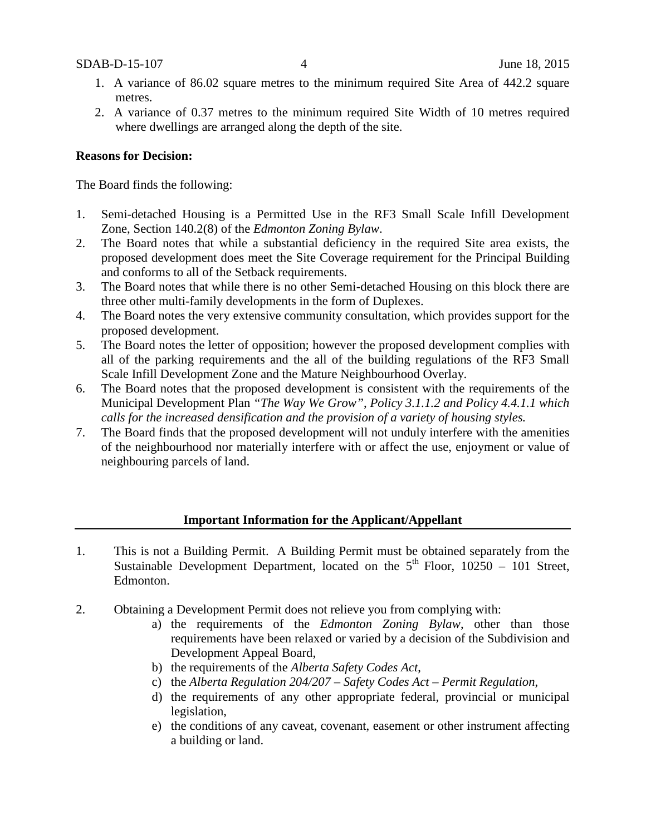- 1. A variance of 86.02 square metres to the minimum required Site Area of 442.2 square metres.
- 2. A variance of 0.37 metres to the minimum required Site Width of 10 metres required where dwellings are arranged along the depth of the site.

### **Reasons for Decision:**

The Board finds the following:

- 1. Semi-detached Housing is a Permitted Use in the RF3 Small Scale Infill Development Zone, Section 140.2(8) of the *Edmonton Zoning Bylaw*.
- 2. The Board notes that while a substantial deficiency in the required Site area exists, the proposed development does meet the Site Coverage requirement for the Principal Building and conforms to all of the Setback requirements.
- 3. The Board notes that while there is no other Semi-detached Housing on this block there are three other multi-family developments in the form of Duplexes.
- 4. The Board notes the very extensive community consultation, which provides support for the proposed development.
- 5. The Board notes the letter of opposition; however the proposed development complies with all of the parking requirements and the all of the building regulations of the RF3 Small Scale Infill Development Zone and the Mature Neighbourhood Overlay.
- 6. The Board notes that the proposed development is consistent with the requirements of the Municipal Development Plan *"The Way We Grow"*, *Policy 3.1.1.2 and Policy 4.4.1.1 which calls for the increased densification and the provision of a variety of housing styles.*
- 7. The Board finds that the proposed development will not unduly interfere with the amenities of the neighbourhood nor materially interfere with or affect the use, enjoyment or value of neighbouring parcels of land.

#### **Important Information for the Applicant/Appellant**

- 1. This is not a Building Permit. A Building Permit must be obtained separately from the Sustainable Development Department, located on the  $5<sup>th</sup>$  Floor, 10250 – 101 Street, Edmonton.
- 2. Obtaining a Development Permit does not relieve you from complying with:
	- a) the requirements of the *Edmonton Zoning Bylaw*, other than those requirements have been relaxed or varied by a decision of the Subdivision and Development Appeal Board,
	- b) the requirements of the *Alberta Safety Codes Act*,
	- c) the *Alberta Regulation 204/207 – Safety Codes Act – Permit Regulation*,
	- d) the requirements of any other appropriate federal, provincial or municipal legislation,
	- e) the conditions of any caveat, covenant, easement or other instrument affecting a building or land.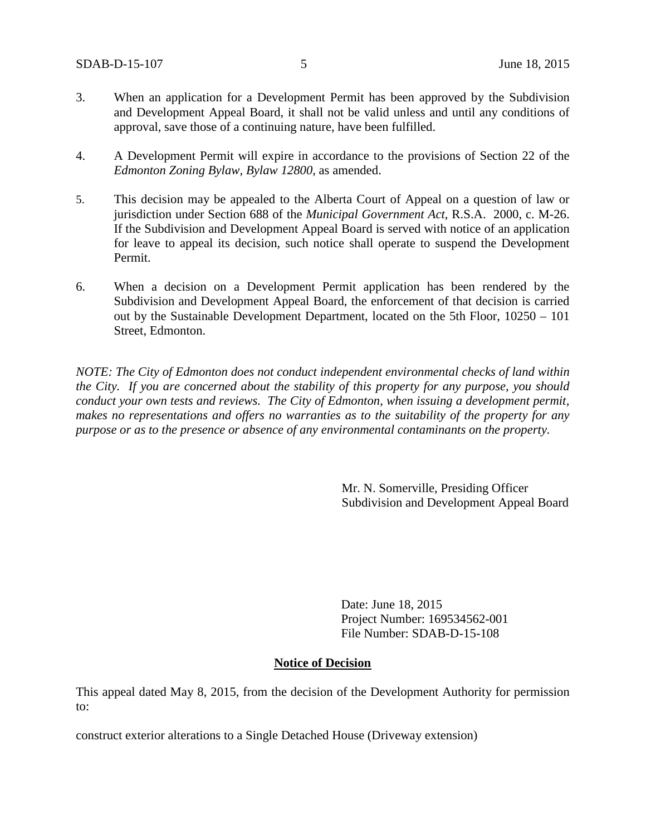- 3. When an application for a Development Permit has been approved by the Subdivision and Development Appeal Board, it shall not be valid unless and until any conditions of approval, save those of a continuing nature, have been fulfilled.
- 4. A Development Permit will expire in accordance to the provisions of Section 22 of the *Edmonton Zoning Bylaw, Bylaw 12800*, as amended.
- 5. This decision may be appealed to the Alberta Court of Appeal on a question of law or jurisdiction under Section 688 of the *Municipal Government Act*, R.S.A. 2000, c. M-26. If the Subdivision and Development Appeal Board is served with notice of an application for leave to appeal its decision, such notice shall operate to suspend the Development Permit.
- 6. When a decision on a Development Permit application has been rendered by the Subdivision and Development Appeal Board, the enforcement of that decision is carried out by the Sustainable Development Department, located on the 5th Floor, 10250 – 101 Street, Edmonton.

*NOTE: The City of Edmonton does not conduct independent environmental checks of land within the City. If you are concerned about the stability of this property for any purpose, you should conduct your own tests and reviews. The City of Edmonton, when issuing a development permit, makes no representations and offers no warranties as to the suitability of the property for any purpose or as to the presence or absence of any environmental contaminants on the property.*

> Mr. N. Somerville, Presiding Officer Subdivision and Development Appeal Board

Date: June 18, 2015 Project Number: 169534562-001 File Number: SDAB-D-15-108

#### **Notice of Decision**

This appeal dated May 8, 2015, from the decision of the Development Authority for permission to:

construct exterior alterations to a Single Detached House (Driveway extension)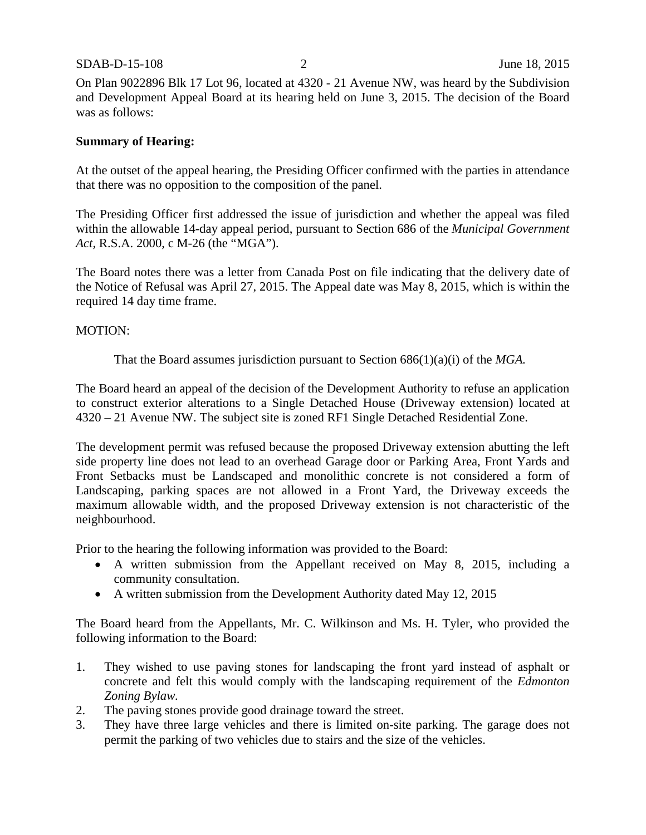#### SDAB-D-15-108 2 June 18, 2015

On Plan 9022896 Blk 17 Lot 96, located at 4320 - 21 Avenue NW, was heard by the Subdivision and Development Appeal Board at its hearing held on June 3, 2015. The decision of the Board was as follows:

### **Summary of Hearing:**

At the outset of the appeal hearing, the Presiding Officer confirmed with the parties in attendance that there was no opposition to the composition of the panel.

The Presiding Officer first addressed the issue of jurisdiction and whether the appeal was filed within the allowable 14-day appeal period, pursuant to Section 686 of the *Municipal Government Act,* R.S.A. 2000, c M-26 (the "MGA").

The Board notes there was a letter from Canada Post on file indicating that the delivery date of the Notice of Refusal was April 27, 2015. The Appeal date was May 8, 2015, which is within the required 14 day time frame.

#### MOTION:

That the Board assumes jurisdiction pursuant to Section 686(1)(a)(i) of the *MGA.*

The Board heard an appeal of the decision of the Development Authority to refuse an application to construct exterior alterations to a Single Detached House (Driveway extension) located at 4320 – 21 Avenue NW. The subject site is zoned RF1 Single Detached Residential Zone.

The development permit was refused because the proposed Driveway extension abutting the left side property line does not lead to an overhead Garage door or Parking Area, Front Yards and Front Setbacks must be Landscaped and monolithic concrete is not considered a form of Landscaping, parking spaces are not allowed in a Front Yard, the Driveway exceeds the maximum allowable width, and the proposed Driveway extension is not characteristic of the neighbourhood.

Prior to the hearing the following information was provided to the Board:

- A written submission from the Appellant received on May 8, 2015, including a community consultation.
- A written submission from the Development Authority dated May 12, 2015

The Board heard from the Appellants, Mr. C. Wilkinson and Ms. H. Tyler, who provided the following information to the Board:

- 1. They wished to use paving stones for landscaping the front yard instead of asphalt or concrete and felt this would comply with the landscaping requirement of the *Edmonton Zoning Bylaw.*
- 2. The paving stones provide good drainage toward the street.
- 3. They have three large vehicles and there is limited on-site parking. The garage does not permit the parking of two vehicles due to stairs and the size of the vehicles.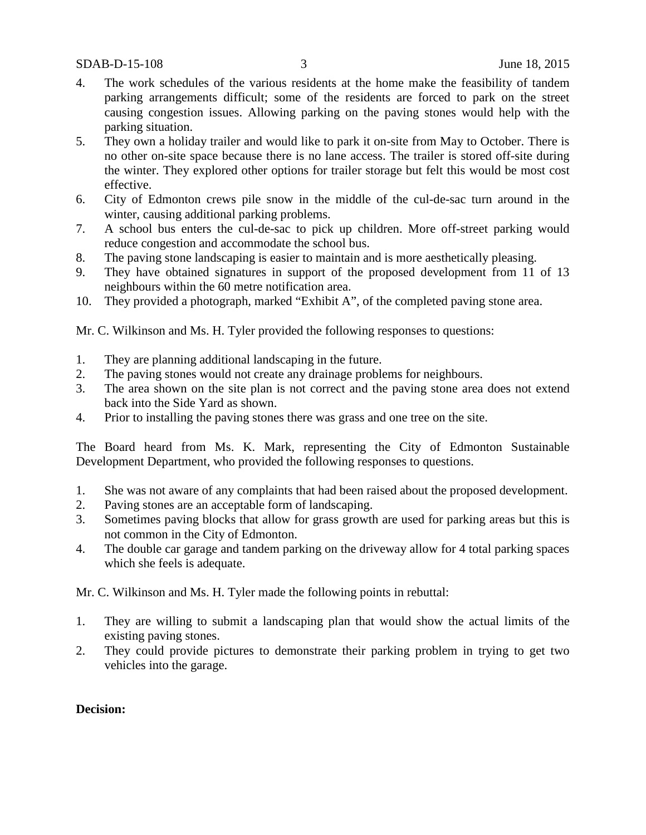- 4. The work schedules of the various residents at the home make the feasibility of tandem parking arrangements difficult; some of the residents are forced to park on the street causing congestion issues. Allowing parking on the paving stones would help with the parking situation.
- 5. They own a holiday trailer and would like to park it on-site from May to October. There is no other on-site space because there is no lane access. The trailer is stored off-site during the winter. They explored other options for trailer storage but felt this would be most cost effective.
- 6. City of Edmonton crews pile snow in the middle of the cul-de-sac turn around in the winter, causing additional parking problems.
- 7. A school bus enters the cul-de-sac to pick up children. More off-street parking would reduce congestion and accommodate the school bus.
- 8. The paving stone landscaping is easier to maintain and is more aesthetically pleasing.
- 9. They have obtained signatures in support of the proposed development from 11 of 13 neighbours within the 60 metre notification area.
- 10. They provided a photograph, marked "Exhibit A", of the completed paving stone area.

Mr. C. Wilkinson and Ms. H. Tyler provided the following responses to questions:

- 1. They are planning additional landscaping in the future.
- 2. The paving stones would not create any drainage problems for neighbours.
- 3. The area shown on the site plan is not correct and the paving stone area does not extend back into the Side Yard as shown.
- 4. Prior to installing the paving stones there was grass and one tree on the site.

The Board heard from Ms. K. Mark, representing the City of Edmonton Sustainable Development Department, who provided the following responses to questions.

- 1. She was not aware of any complaints that had been raised about the proposed development.
- 2. Paving stones are an acceptable form of landscaping.
- 3. Sometimes paving blocks that allow for grass growth are used for parking areas but this is not common in the City of Edmonton.
- 4. The double car garage and tandem parking on the driveway allow for 4 total parking spaces which she feels is adequate.

Mr. C. Wilkinson and Ms. H. Tyler made the following points in rebuttal:

- 1. They are willing to submit a landscaping plan that would show the actual limits of the existing paving stones.
- 2. They could provide pictures to demonstrate their parking problem in trying to get two vehicles into the garage.

#### **Decision:**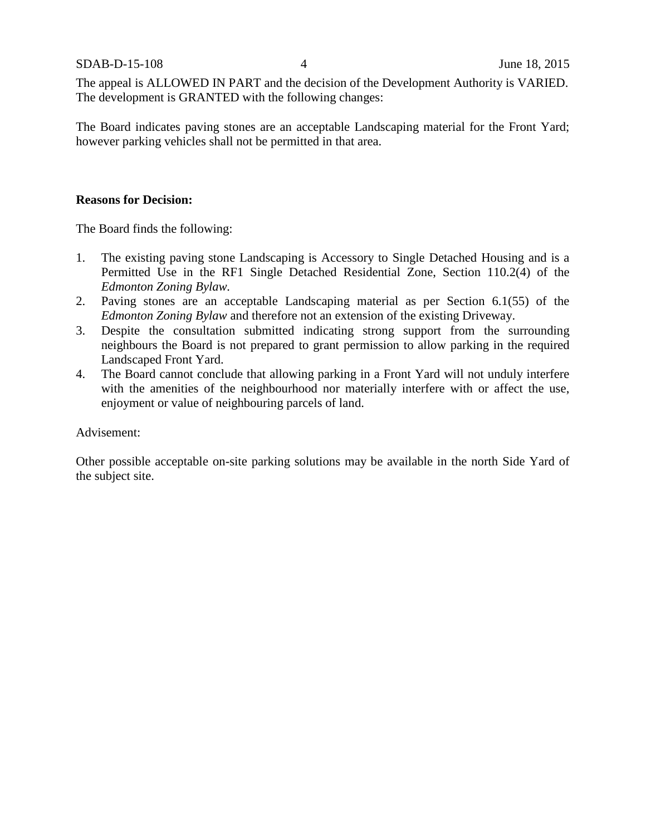The appeal is ALLOWED IN PART and the decision of the Development Authority is VARIED. The development is GRANTED with the following changes:

The Board indicates paving stones are an acceptable Landscaping material for the Front Yard; however parking vehicles shall not be permitted in that area.

## **Reasons for Decision:**

The Board finds the following:

- 1. The existing paving stone Landscaping is Accessory to Single Detached Housing and is a Permitted Use in the RF1 Single Detached Residential Zone, Section 110.2(4) of the *Edmonton Zoning Bylaw.*
- 2. Paving stones are an acceptable Landscaping material as per Section 6.1(55) of the *Edmonton Zoning Bylaw* and therefore not an extension of the existing Driveway.
- 3. Despite the consultation submitted indicating strong support from the surrounding neighbours the Board is not prepared to grant permission to allow parking in the required Landscaped Front Yard.
- 4. The Board cannot conclude that allowing parking in a Front Yard will not unduly interfere with the amenities of the neighbourhood nor materially interfere with or affect the use, enjoyment or value of neighbouring parcels of land.

#### Advisement:

Other possible acceptable on-site parking solutions may be available in the north Side Yard of the subject site.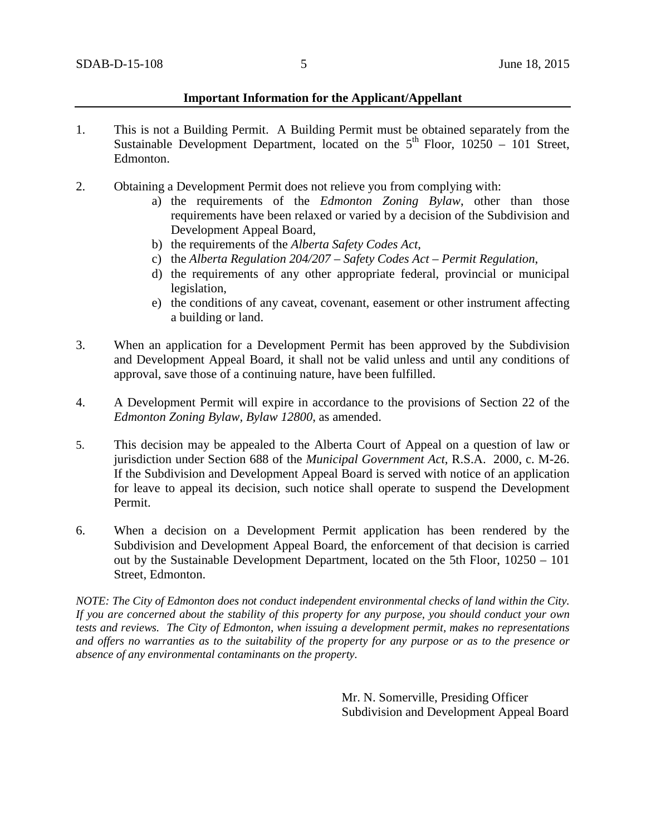#### **Important Information for the Applicant/Appellant**

- 1. This is not a Building Permit. A Building Permit must be obtained separately from the Sustainable Development Department, located on the  $5<sup>th</sup>$  Floor, 10250 – 101 Street, Edmonton.
- 2. Obtaining a Development Permit does not relieve you from complying with:
	- a) the requirements of the *Edmonton Zoning Bylaw*, other than those requirements have been relaxed or varied by a decision of the Subdivision and Development Appeal Board,
	- b) the requirements of the *Alberta Safety Codes Act*,
	- c) the *Alberta Regulation 204/207 – Safety Codes Act – Permit Regulation*,
	- d) the requirements of any other appropriate federal, provincial or municipal legislation,
	- e) the conditions of any caveat, covenant, easement or other instrument affecting a building or land.
- 3. When an application for a Development Permit has been approved by the Subdivision and Development Appeal Board, it shall not be valid unless and until any conditions of approval, save those of a continuing nature, have been fulfilled.
- 4. A Development Permit will expire in accordance to the provisions of Section 22 of the *Edmonton Zoning Bylaw, Bylaw 12800*, as amended.
- 5. This decision may be appealed to the Alberta Court of Appeal on a question of law or jurisdiction under Section 688 of the *Municipal Government Act*, R.S.A. 2000, c. M-26. If the Subdivision and Development Appeal Board is served with notice of an application for leave to appeal its decision, such notice shall operate to suspend the Development Permit.
- 6. When a decision on a Development Permit application has been rendered by the Subdivision and Development Appeal Board, the enforcement of that decision is carried out by the Sustainable Development Department, located on the 5th Floor, 10250 – 101 Street, Edmonton.

*NOTE: The City of Edmonton does not conduct independent environmental checks of land within the City. If you are concerned about the stability of this property for any purpose, you should conduct your own tests and reviews. The City of Edmonton, when issuing a development permit, makes no representations and offers no warranties as to the suitability of the property for any purpose or as to the presence or absence of any environmental contaminants on the property.*

> Mr. N. Somerville, Presiding Officer Subdivision and Development Appeal Board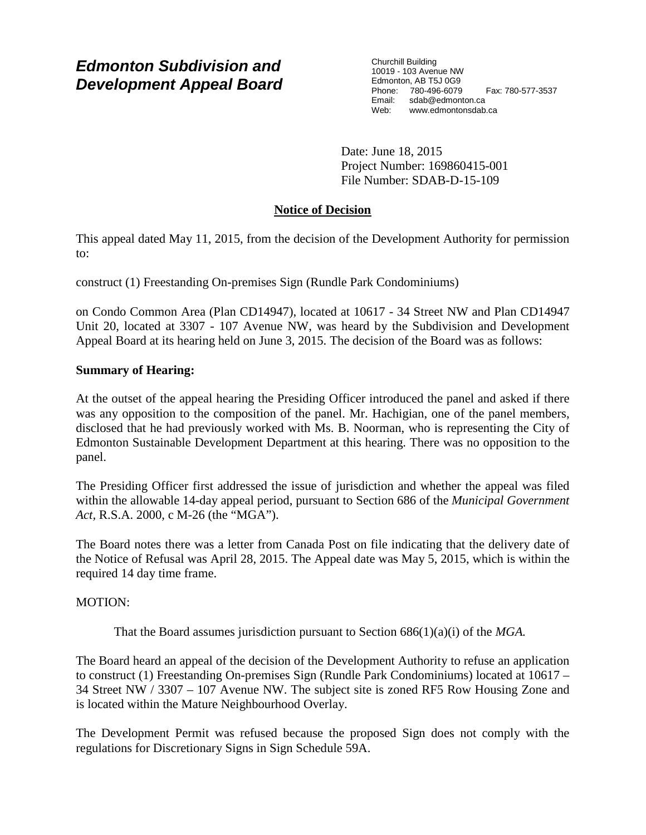# *Edmonton Subdivision and Development Appeal Board*

Churchill Building 10019 - 103 Avenue NW Edmonton, AB T5J 0G9 Phone: 780-496-6079 Fax: 780-577-3537 Email: sdab@edmonton.ca<br>Web: www.edmontonsdab www.edmontonsdab.ca

Date: June 18, 2015 Project Number: 169860415-001 File Number: SDAB-D-15-109

# **Notice of Decision**

This appeal dated May 11, 2015, from the decision of the Development Authority for permission to:

construct (1) Freestanding On-premises Sign (Rundle Park Condominiums)

on Condo Common Area (Plan CD14947), located at 10617 - 34 Street NW and Plan CD14947 Unit 20, located at 3307 - 107 Avenue NW, was heard by the Subdivision and Development Appeal Board at its hearing held on June 3, 2015. The decision of the Board was as follows:

# **Summary of Hearing:**

At the outset of the appeal hearing the Presiding Officer introduced the panel and asked if there was any opposition to the composition of the panel. Mr. Hachigian, one of the panel members, disclosed that he had previously worked with Ms. B. Noorman, who is representing the City of Edmonton Sustainable Development Department at this hearing. There was no opposition to the panel.

The Presiding Officer first addressed the issue of jurisdiction and whether the appeal was filed within the allowable 14-day appeal period, pursuant to Section 686 of the *Municipal Government Act,* R.S.A. 2000, c M-26 (the "MGA").

The Board notes there was a letter from Canada Post on file indicating that the delivery date of the Notice of Refusal was April 28, 2015. The Appeal date was May 5, 2015, which is within the required 14 day time frame.

# MOTION:

That the Board assumes jurisdiction pursuant to Section 686(1)(a)(i) of the *MGA.*

The Board heard an appeal of the decision of the Development Authority to refuse an application to construct (1) Freestanding On-premises Sign (Rundle Park Condominiums) located at 10617 – 34 Street NW / 3307 – 107 Avenue NW. The subject site is zoned RF5 Row Housing Zone and is located within the Mature Neighbourhood Overlay.

The Development Permit was refused because the proposed Sign does not comply with the regulations for Discretionary Signs in Sign Schedule 59A.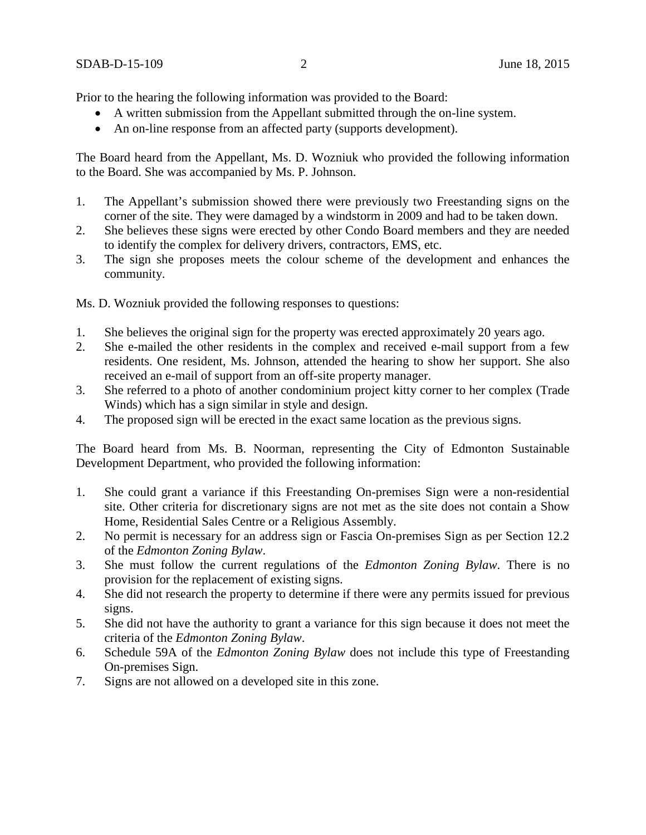Prior to the hearing the following information was provided to the Board:

- A written submission from the Appellant submitted through the on-line system.
- An on-line response from an affected party (supports development).

The Board heard from the Appellant, Ms. D. Wozniuk who provided the following information to the Board. She was accompanied by Ms. P. Johnson.

- 1. The Appellant's submission showed there were previously two Freestanding signs on the corner of the site. They were damaged by a windstorm in 2009 and had to be taken down.
- 2. She believes these signs were erected by other Condo Board members and they are needed to identify the complex for delivery drivers, contractors, EMS, etc.
- 3. The sign she proposes meets the colour scheme of the development and enhances the community.

Ms. D. Wozniuk provided the following responses to questions:

- 1. She believes the original sign for the property was erected approximately 20 years ago.
- 2. She e-mailed the other residents in the complex and received e-mail support from a few residents. One resident, Ms. Johnson, attended the hearing to show her support. She also received an e-mail of support from an off-site property manager.
- 3. She referred to a photo of another condominium project kitty corner to her complex (Trade Winds) which has a sign similar in style and design.
- 4. The proposed sign will be erected in the exact same location as the previous signs.

The Board heard from Ms. B. Noorman, representing the City of Edmonton Sustainable Development Department, who provided the following information:

- 1. She could grant a variance if this Freestanding On-premises Sign were a non-residential site. Other criteria for discretionary signs are not met as the site does not contain a Show Home, Residential Sales Centre or a Religious Assembly.
- 2. No permit is necessary for an address sign or Fascia On-premises Sign as per Section 12.2 of the *Edmonton Zoning Bylaw*.
- 3. She must follow the current regulations of the *Edmonton Zoning Bylaw*. There is no provision for the replacement of existing signs.
- 4. She did not research the property to determine if there were any permits issued for previous signs.
- 5. She did not have the authority to grant a variance for this sign because it does not meet the criteria of the *Edmonton Zoning Bylaw*.
- 6. Schedule 59A of the *Edmonton Zoning Bylaw* does not include this type of Freestanding On-premises Sign.
- 7. Signs are not allowed on a developed site in this zone.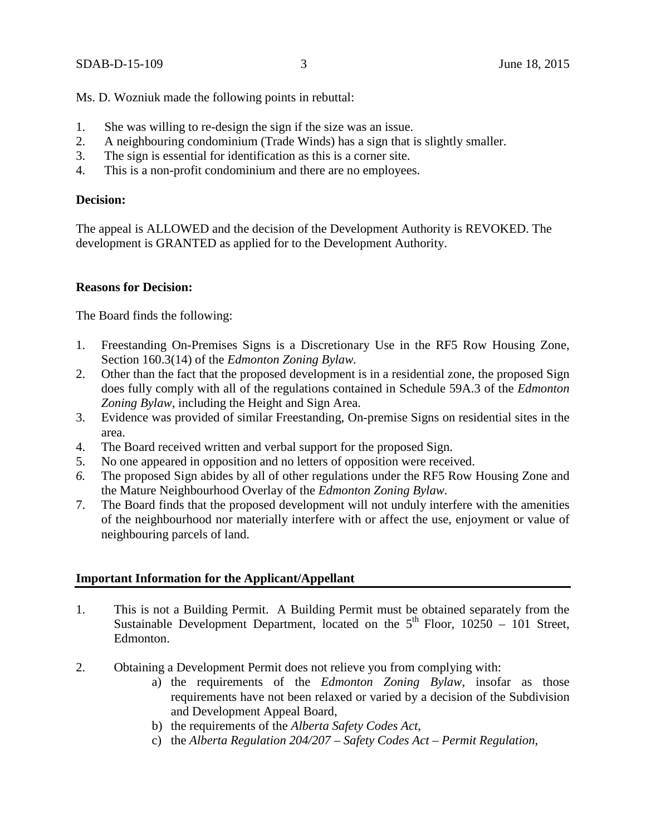Ms. D. Wozniuk made the following points in rebuttal:

- 1. She was willing to re-design the sign if the size was an issue.
- 2. A neighbouring condominium (Trade Winds) has a sign that is slightly smaller.
- 3. The sign is essential for identification as this is a corner site.
- 4. This is a non-profit condominium and there are no employees.

## **Decision:**

The appeal is ALLOWED and the decision of the Development Authority is REVOKED. The development is GRANTED as applied for to the Development Authority.

## **Reasons for Decision:**

The Board finds the following:

- 1. Freestanding On-Premises Signs is a Discretionary Use in the RF5 Row Housing Zone, Section 160.3(14) of the *Edmonton Zoning Bylaw.*
- 2. Other than the fact that the proposed development is in a residential zone, the proposed Sign does fully comply with all of the regulations contained in Schedule 59A.3 of the *Edmonton Zoning Bylaw*, including the Height and Sign Area.
- 3. Evidence was provided of similar Freestanding, On-premise Signs on residential sites in the area.
- 4. The Board received written and verbal support for the proposed Sign.
- 5. No one appeared in opposition and no letters of opposition were received.
- *6.* The proposed Sign abides by all of other regulations under the RF5 Row Housing Zone and the Mature Neighbourhood Overlay of the *Edmonton Zoning Bylaw.*
- 7. The Board finds that the proposed development will not unduly interfere with the amenities of the neighbourhood nor materially interfere with or affect the use, enjoyment or value of neighbouring parcels of land.

## **Important Information for the Applicant/Appellant**

- 1. This is not a Building Permit. A Building Permit must be obtained separately from the Sustainable Development Department, located on the  $5<sup>th</sup>$  Floor, 10250 – 101 Street, Edmonton.
- 2. Obtaining a Development Permit does not relieve you from complying with:
	- a) the requirements of the *Edmonton Zoning Bylaw*, insofar as those requirements have not been relaxed or varied by a decision of the Subdivision and Development Appeal Board,
	- b) the requirements of the *Alberta Safety Codes Act*,
	- c) the *Alberta Regulation 204/207 – Safety Codes Act – Permit Regulation*,